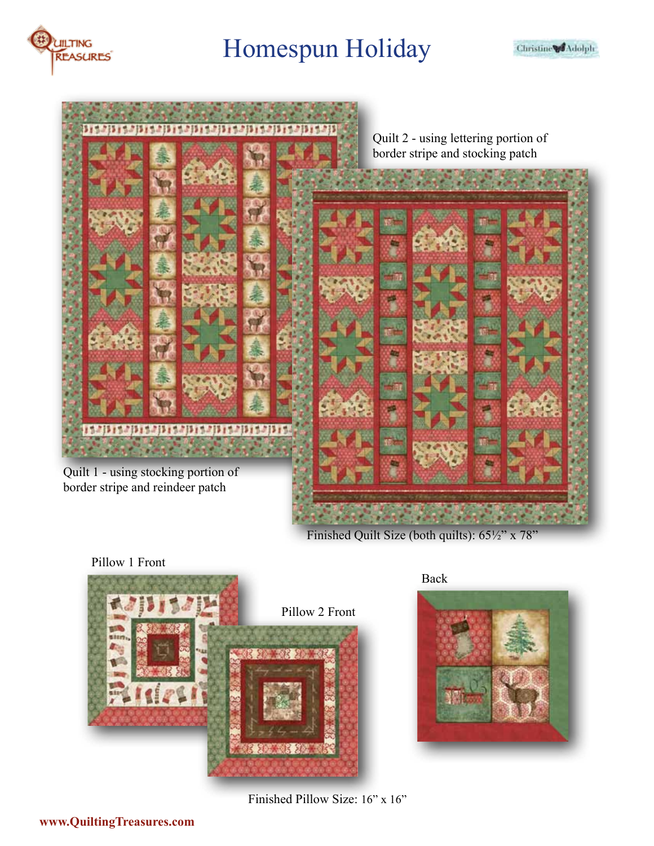



Finished Quilt Size (both quilts): 65½" x 78"





Back



Finished Pillow Size: 16" x 16"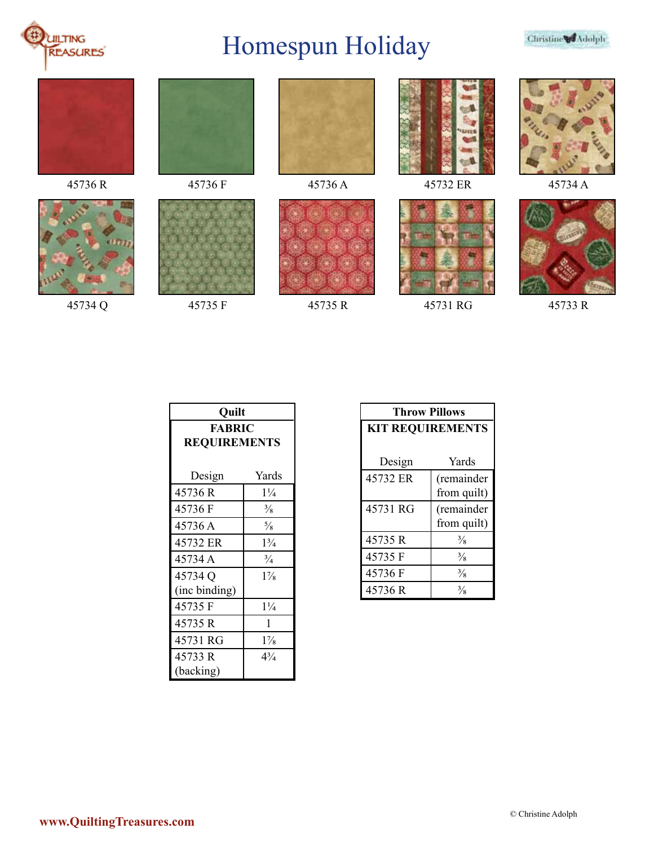













45736 R 45736 F 45736 A 45736 A 45732 ER 45734 A



45734 Q 45735 F 45735 R 45731 RG 45733 R





| Ouilt               |                |  |
|---------------------|----------------|--|
| <b>FABRIC</b>       |                |  |
| <b>REQUIREMENTS</b> |                |  |
|                     |                |  |
| Design              | Yards          |  |
| 45736R              | $1\frac{1}{4}$ |  |
| 45736 F             | $\frac{3}{8}$  |  |
| 45736 A             | $\frac{5}{8}$  |  |
| 45732 ER            | $1\frac{3}{4}$ |  |
| 45734 A             | $\frac{3}{4}$  |  |
| 45734 Q             | $1\%$          |  |
| (inc binding)       |                |  |
| 45735 F             | $1\frac{1}{4}$ |  |
| 45735 R             | 1              |  |
| 45731 RG            | $1\frac{7}{8}$ |  |
| 45733 R             | $4\frac{3}{4}$ |  |
| (backing)           |                |  |

| <b>Throw Pillows</b>    |               |  |
|-------------------------|---------------|--|
| <b>KIT REQUIREMENTS</b> |               |  |
|                         |               |  |
| Design                  | Yards         |  |
| 45732 ER                | (remainder    |  |
|                         | from quilt)   |  |
| 45731 RG                | (remainder    |  |
|                         | from quilt)   |  |
| 45735R                  | $\frac{3}{8}$ |  |
| 45735 F                 | $\frac{3}{8}$ |  |
| 45736 F                 | $\frac{3}{8}$ |  |
| 45736R                  | $\frac{3}{8}$ |  |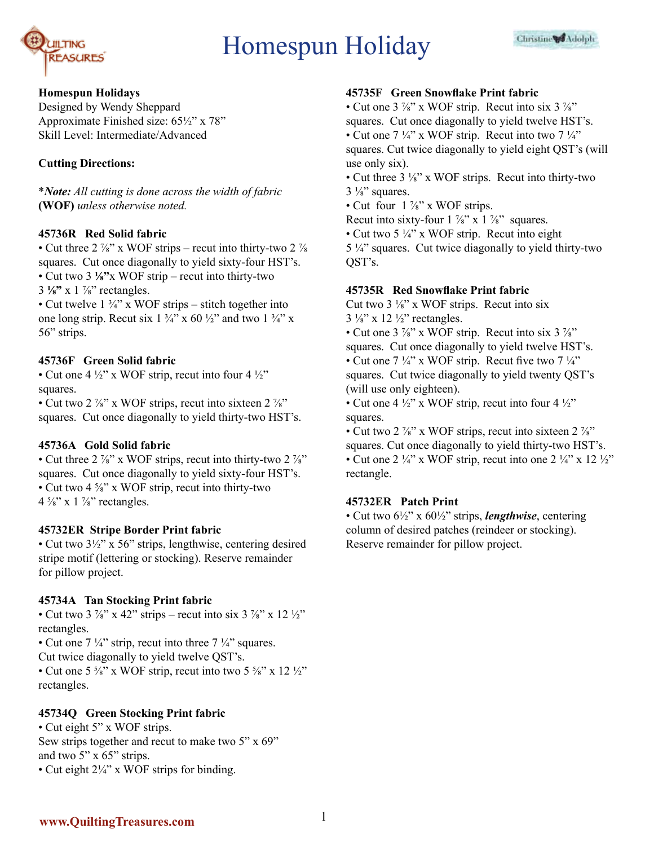

#### **Homespun Holidays**

Designed by Wendy Sheppard Approximate Finished size: 65½" x 78" Skill Level: Intermediate/Advanced

# **Cutting Directions:**

\**Note: All cutting is done across the width of fabric*  **(WOF)** *unless otherwise noted.* 

# **45736R Red Solid fabric**

• Cut three  $2\frac{7}{8}$  x WOF strips – recut into thirty-two  $2\frac{7}{8}$ squares. Cut once diagonally to yield sixty-four HST's. • Cut two 3 **⅛"**x WOF strip – recut into thirty-two 3 **⅛"** x 1 ⅞" rectangles.

• Cut twelve  $1 \frac{3}{4}$ " x WOF strips – stitch together into one long strip. Recut six  $1 \frac{3}{4}$  x 60  $\frac{1}{2}$  and two  $1 \frac{3}{4}$  x 56" strips.

# **45736F Green Solid fabric**

• Cut one 4  $\frac{1}{2}$ " x WOF strip, recut into four 4  $\frac{1}{2}$ " squares.

• Cut two 2  $\frac{7}{8}$ " x WOF strips, recut into sixteen 2  $\frac{7}{8}$ " squares. Cut once diagonally to yield thirty-two HST's.

# **45736A Gold Solid fabric**

• Cut three  $2\frac{7}{8}$ " x WOF strips, recut into thirty-two  $2\frac{7}{8}$ " squares. Cut once diagonally to yield sixty-four HST's. • Cut two 4 <sup>5</sup>/<sub>8</sub>" x WOF strip, recut into thirty-two  $4\frac{5}{8}$ " x 1  $\frac{7}{8}$ " rectangles.

# **45732ER Stripe Border Print fabric**

• Cut two 3½" x 56" strips, lengthwise, centering desired stripe motif (lettering or stocking). Reserve remainder for pillow project.

#### **45734A Tan Stocking Print fabric**

• Cut two 3  $\frac{7}{8}$ " x 42" strips – recut into six 3  $\frac{7}{8}$ " x 12  $\frac{1}{2}$ " rectangles.

• Cut one  $7\frac{1}{4}$ " strip, recut into three  $7\frac{1}{4}$ " squares.

Cut twice diagonally to yield twelve QST's.

• Cut one 5  $\frac{5}{8}$ " x WOF strip, recut into two 5  $\frac{5}{8}$ " x 12  $\frac{1}{2}$ " rectangles.

# **45734Q Green Stocking Print fabric**

• Cut eight 5" x WOF strips. Sew strips together and recut to make two 5" x 69" and two 5" x 65" strips. • Cut eight 2¼" x WOF strips for binding.

#### **45735F Green Snowflake Print fabric**

• Cut one  $3\frac{7}{8}$ " x WOF strip. Recut into six  $3\frac{7}{8}$ " squares. Cut once diagonally to yield twelve HST's. • Cut one  $7\frac{1}{4}$ " x WOF strip. Recut into two  $7\frac{1}{4}$ " squares. Cut twice diagonally to yield eight QST's (will use only six).

• Cut three 3 ⅛" x WOF strips. Recut into thirty-two  $3\frac{1}{8}$  squares.

• Cut four  $1\frac{\gamma_s}{s}$  x WOF strips.

Recut into sixty-four  $1\frac{7}{8}$ " x  $1\frac{7}{8}$ " squares.

• Cut two 5 ¼" x WOF strip. Recut into eight 5 ¼" squares. Cut twice diagonally to yield thirty-two QST's.

#### **45735R Red Snowflake Print fabric**

Cut two  $3\frac{1}{8}$ " x WOF strips. Recut into six  $3\frac{1}{8}$ " x 12 $\frac{1}{2}$ " rectangles.

• Cut one 3  $\frac{7}{8}$ " x WOF strip. Recut into six 3  $\frac{7}{8}$ " squares. Cut once diagonally to yield twelve HST's. • Cut one  $7\frac{1}{4}$ " x WOF strip. Recut five two  $7\frac{1}{4}$ " squares. Cut twice diagonally to yield twenty QST's (will use only eighteen).

• Cut one 4  $\frac{1}{2}$ " x WOF strip, recut into four 4  $\frac{1}{2}$ " squares.

• Cut two 2  $\frac{7}{8}$ " x WOF strips, recut into sixteen 2  $\frac{7}{8}$ " squares. Cut once diagonally to yield thirty-two HST's. • Cut one 2  $\frac{1}{4}$ " x WOF strip, recut into one 2  $\frac{1}{4}$ " x 12  $\frac{1}{2}$ " rectangle.

#### **45732ER Patch Print**

• Cut two 6½" x 60½" strips, *lengthwise*, centering column of desired patches (reindeer or stocking). Reserve remainder for pillow project.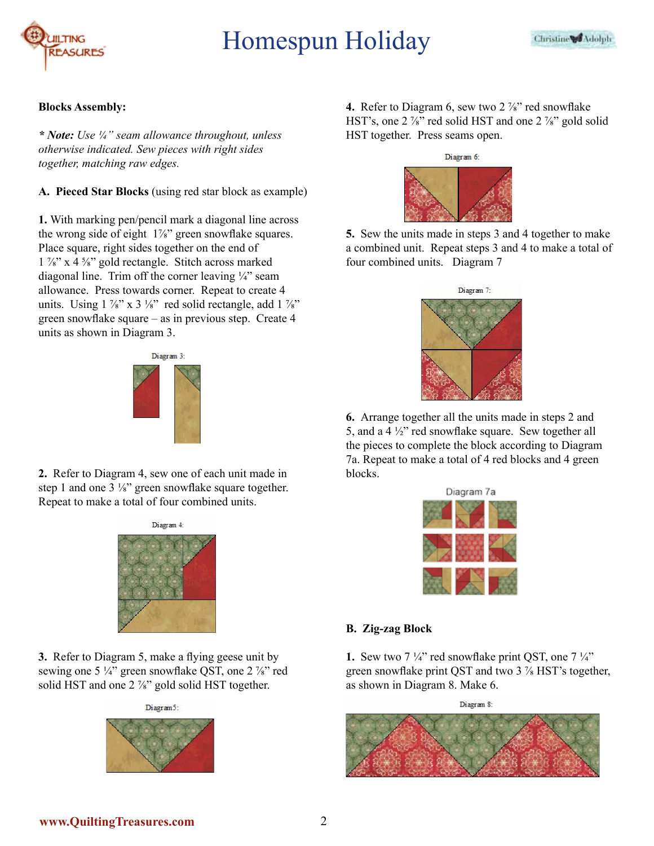

#### **Blocks Assembly:**

*\* Note: Use ¼" seam allowance throughout, unless otherwise indicated. Sew pieces with right sides together, matching raw edges.*

**A. Pieced Star Blocks** (using red star block as example)

**1.** With marking pen/pencil mark a diagonal line across the wrong side of eight 1<sup>%</sup> green snowflake squares. Place square, right sides together on the end of  $1\frac{\gamma_8}{\alpha}$  x 4  $\frac{5}{\alpha}$  gold rectangle. Stitch across marked diagonal line. Trim off the corner leaving ¼" seam allowance. Press towards corner. Repeat to create 4 units. Using  $1\frac{7}{8}$  x  $3\frac{1}{8}$  red solid rectangle, add  $1\frac{7}{8}$ green snowflake square – as in previous step. Create 4 units as shown in Diagram 3.



**2.** Refer to Diagram 4, sew one of each unit made in step 1 and one 3 ¼" green snowflake square together. Repeat to make a total of four combined units.



**3.** Refer to Diagram 5, make a flying geese unit by sewing one 5 ¼" green snowflake QST, one 2 %" red solid HST and one 2 %" gold solid HST together.



**4.** Refer to Diagram 6, sew two 2 <sup> $\frac{7}{8}$ </sup> red snowflake HST's, one 2  $\frac{7}{8}$ " red solid HST and one 2  $\frac{7}{8}$ " gold solid HST together. Press seams open.



**5.** Sew the units made in steps 3 and 4 together to make a combined unit. Repeat steps 3 and 4 to make a total of four combined units. Diagram 7



**6.** Arrange together all the units made in steps 2 and 5, and a 4 ½" red snowflake square. Sew together all the pieces to complete the block according to Diagram 7a. Repeat to make a total of 4 red blocks and 4 green blocks.

| Diagram 7a |  |  |  |
|------------|--|--|--|
|            |  |  |  |
|            |  |  |  |
|            |  |  |  |

# **B. Zig-zag Block**

**1.** Sew two 7  $\frac{1}{4}$ " red snowflake print QST, one 7  $\frac{1}{4}$ " green snowflake print QST and two 3 ⅞ HST's together, as shown in Diagram 8. Make 6.

Diagram 8:

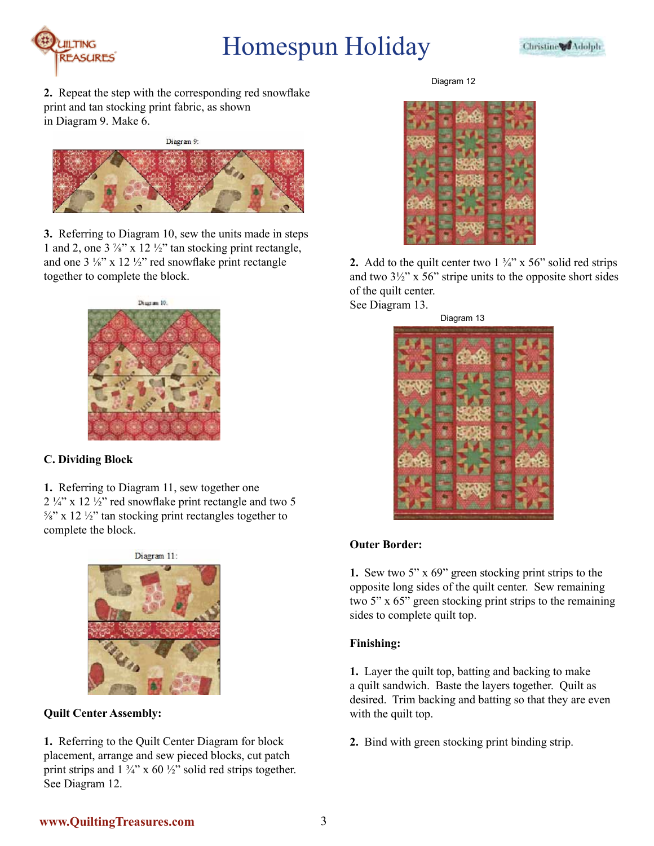



**2.** Repeat the step with the corresponding red snowflake print and tan stocking print fabric, as shown in Diagram 9. Make 6.

Diagram 9:



**3.** Referring to Diagram 10, sew the units made in steps 1 and 2, one  $3\frac{7}{8}$ " x 12  $\frac{1}{2}$ " tan stocking print rectangle, and one 3 ⅛" x 12 ½" red snowflake print rectangle together to complete the block.



# **C. Dividing Block**

**1.** Referring to Diagram 11, sew together one  $2\frac{1}{4}$  x 12  $\frac{1}{2}$  red snowflake print rectangle and two 5  $\frac{5}{8}$ " x 12  $\frac{1}{2}$ " tan stocking print rectangles together to complete the block.



**Quilt Center Assembly:**

**1.** Referring to the Quilt Center Diagram for block placement, arrange and sew pieced blocks, cut patch print strips and  $1 \frac{3}{4}$ " x 60  $\frac{1}{2}$ " solid red strips together. See Diagram 12.

Diagram 12



**2.** Add to the quilt center two  $1\frac{3}{4}$  x 56" solid red strips and two  $3\frac{1}{2}$ " x 56" stripe units to the opposite short sides of the quilt center. See Diagram 13.

Diagram 13



# **Outer Border:**

**1.** Sew two 5" x 69" green stocking print strips to the opposite long sides of the quilt center. Sew remaining two 5" x 65" green stocking print strips to the remaining sides to complete quilt top.

# **Finishing:**

**1.** Layer the quilt top, batting and backing to make a quilt sandwich. Baste the layers together. Quilt as desired. Trim backing and batting so that they are even with the quilt top.

**2.** Bind with green stocking print binding strip.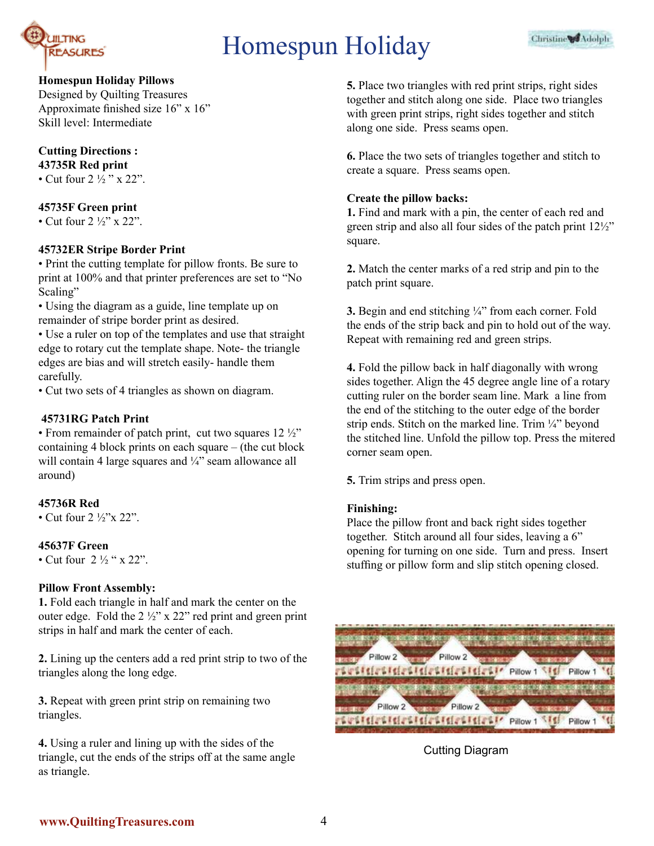

# **Homespun Holiday Pillows**

Designed by Quilting Treasures Approximate finished size 16" x 16" Skill level: Intermediate

# **Cutting Directions : 43735R Red print**

• Cut four  $2\frac{1}{2}$  " x 22".

# **45735F Green print**

• Cut four  $2\frac{1}{2}$ " x  $22$ ".

#### **45732ER Stripe Border Print**

• Print the cutting template for pillow fronts. Be sure to print at 100% and that printer preferences are set to "No Scaling"

• Using the diagram as a guide, line template up on remainder of stripe border print as desired.

• Use a ruler on top of the templates and use that straight edge to rotary cut the template shape. Note- the triangle edges are bias and will stretch easily- handle them carefully.

• Cut two sets of 4 triangles as shown on diagram.

#### **45731RG Patch Print**

• From remainder of patch print, cut two squares  $12\frac{1}{2}$ " containing 4 block prints on each square – (the cut block will contain 4 large squares and ¼" seam allowance all around)

#### **45736R Red**

• Cut four  $2\frac{1}{2}$ "x 22".

#### **45637F Green**

• Cut four  $2\frac{1}{2}$  " x 22".

#### **Pillow Front Assembly:**

**1.** Fold each triangle in half and mark the center on the outer edge. Fold the 2 ½" x 22" red print and green print strips in half and mark the center of each.

**2.** Lining up the centers add a red print strip to two of the triangles along the long edge.

**3.** Repeat with green print strip on remaining two triangles.

**4.** Using a ruler and lining up with the sides of the triangle, cut the ends of the strips off at the same angle as triangle.

**5.** Place two triangles with red print strips, right sides together and stitch along one side. Place two triangles with green print strips, right sides together and stitch along one side. Press seams open.

**6.** Place the two sets of triangles together and stitch to create a square. Press seams open.

#### **Create the pillow backs:**

**1.** Find and mark with a pin, the center of each red and green strip and also all four sides of the patch print 12½" square.

**2.** Match the center marks of a red strip and pin to the patch print square.

**3.** Begin and end stitching ¼" from each corner. Fold the ends of the strip back and pin to hold out of the way. Repeat with remaining red and green strips.

**4.** Fold the pillow back in half diagonally with wrong sides together. Align the 45 degree angle line of a rotary cutting ruler on the border seam line. Mark a line from the end of the stitching to the outer edge of the border strip ends. Stitch on the marked line. Trim ¼" beyond the stitched line. Unfold the pillow top. Press the mitered corner seam open.

**5.** Trim strips and press open.

#### **Finishing:**

Place the pillow front and back right sides together together. Stitch around all four sides, leaving a 6" opening for turning on one side. Turn and press. Insert stuffing or pillow form and slip stitch opening closed.



# Cutting Diagram